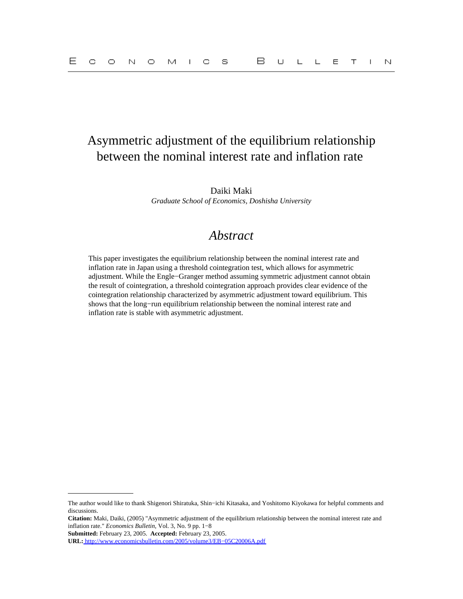# Asymmetric adjustment of the equilibrium relationship between the nominal interest rate and inflation rate

Daiki Maki *Graduate School of Economics, Doshisha University*

# *Abstract*

This paper investigates the equilibrium relationship between the nominal interest rate and inflation rate in Japan using a threshold cointegration test, which allows for asymmetric adjustment. While the Engle−Granger method assuming symmetric adjustment cannot obtain the result of cointegration, a threshold cointegration approach provides clear evidence of the cointegration relationship characterized by asymmetric adjustment toward equilibrium. This shows that the long−run equilibrium relationship between the nominal interest rate and inflation rate is stable with asymmetric adjustment.

**Citation:** Maki, Daiki, (2005) "Asymmetric adjustment of the equilibrium relationship between the nominal interest rate and inflation rate." *Economics Bulletin,* Vol. 3, No. 9 pp. 1−8

**Submitted:** February 23, 2005. **Accepted:** February 23, 2005.

The author would like to thank Shigenori Shiratuka, Shin−ichi Kitasaka, and Yoshitomo Kiyokawa for helpful comments and discussions.

**URL:** [http://www.economicsbulletin.com/2005/volume3/EB−05C20006A.pdf](http://www.economicsbulletin.com/2005/volume3/EB-05C20006A.pdf)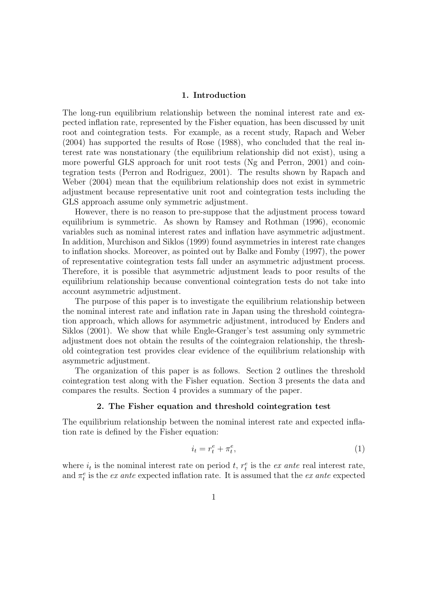#### 1. Introduction

The long-run equilibrium relationship between the nominal interest rate and expected inflation rate, represented by the Fisher equation, has been discussed by unit root and cointegration tests. For example, as a recent study, Rapach and Weber (2004) has supported the results of Rose (1988), who concluded that the real interest rate was nonstationary (the equilibrium relationship did not exist), using a more powerful GLS approach for unit root tests (Ng and Perron, 2001) and cointegration tests (Perron and Rodriguez, 2001). The results shown by Rapach and Weber (2004) mean that the equilibrium relationship does not exist in symmetric adjustment because representative unit root and cointegration tests including the GLS approach assume only symmetric adjustment.

However, there is no reason to pre-suppose that the adjustment process toward equilibrium is symmetric. As shown by Ramsey and Rothman (1996), economic variables such as nominal interest rates and inflation have asymmetric adjustment. In addition, Murchison and Siklos (1999) found asymmetries in interest rate changes to inflation shocks. Moreover, as pointed out by Balke and Fomby (1997), the power of representative cointegration tests fall under an asymmetric adjustment process. Therefore, it is possible that asymmetric adjustment leads to poor results of the equilibrium relationship because conventional cointegration tests do not take into account asymmetric adjustment.

The purpose of this paper is to investigate the equilibrium relationship between the nominal interest rate and inflation rate in Japan using the threshold cointegration approach, which allows for asymmetric adjustment, introduced by Enders and Siklos (2001). We show that while Engle-Granger's test assuming only symmetric adjustment does not obtain the results of the cointegraion relationship, the threshold cointegration test provides clear evidence of the equilibrium relationship with asymmetric adjustment.

The organization of this paper is as follows. Section 2 outlines the threshold cointegration test along with the Fisher equation. Section 3 presents the data and compares the results. Section 4 provides a summary of the paper.

## 2. The Fisher equation and threshold cointegration test

The equilibrium relationship between the nominal interest rate and expected inflation rate is defined by the Fisher equation:

$$
i_t = r_t^e + \pi_t^e,\tag{1}
$$

where  $i_t$  is the nominal interest rate on period t,  $r_t^e$  is the ex ante real interest rate, and  $\pi_t^e$  is the *ex ante* expected inflation rate. It is assumed that the *ex ante* expected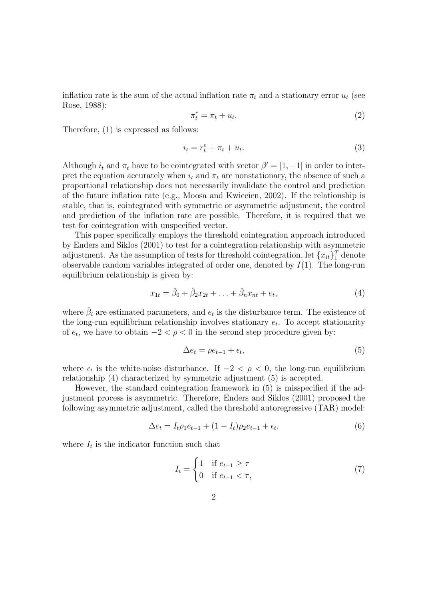inflation rate is the sum of the actual inflation rate  $\pi_t$  and a stationary error  $u_t$  (see Rose, 1988):

$$
\pi_t^e = \pi_t + u_t. \tag{2}
$$

Therefore, (1) is expressed as follows:

$$
i_t = r_t^e + \pi_t + u_t. \tag{3}
$$

Although  $i_t$  and  $\pi_t$  have to be cointegrated with vector  $\beta' = [1, -1]$  in order to interpret the equation accurately when  $i_t$  and  $\pi_t$  are nonstationary, the absence of such a proportional relationship does not necessarily invalidate the control and prediction of the future inflation rate (e.g., Moosa and Kwiecien, 2002). If the relationship is stable, that is, cointegrated with symmetric or asymmetric adjustment, the control and prediction of the inflation rate are possible. Therefore, it is required that we test for cointegration with unspecified vector.

This paper specifically employs the threshold cointegration approach introduced by Enders and Siklos (2001) to test for a cointegration relationship with asymmetric adjustment. As the assumption of tests for threshold cointegration, let  ${x_{it}}_1^T$  denote observable random variables integrated of order one, denoted by  $I(1)$ . The long-run equilibrium relationship is given by:

$$
x_{1t} = \hat{\beta}_0 + \hat{\beta}_2 x_{2t} + \ldots + \hat{\beta}_n x_{nt} + e_t,
$$
\n(4)

where  $\hat{\beta}_i$  are estimated parameters, and  $e_t$  is the disturbance term. The existence of the long-run equilibrium relationship involves stationary  $e_t$ . To accept stationarity of  $e_t$ , we have to obtain  $-2 < \rho < 0$  in the second step procedure given by:

$$
\Delta e_t = \rho e_{t-1} + \epsilon_t,\tag{5}
$$

where  $\epsilon_t$  is the white-noise disturbance. If  $-2 < \rho < 0$ , the long-run equilibrium relationship (4) characterized by symmetric adjustment (5) is accepted.

However, the standard cointegration framework in (5) is misspecified if the adjustment process is asymmetric. Therefore, Enders and Siklos (2001) proposed the following asymmetric adjustment, called the threshold autoregressive (TAR) model:

$$
\Delta e_t = I_t \rho_1 e_{t-1} + (1 - I_t) \rho_2 e_{t-1} + \epsilon_t,\tag{6}
$$

where  $I_t$  is the indicator function such that

$$
I_t = \begin{cases} 1 & \text{if } e_{t-1} \ge \tau \\ 0 & \text{if } e_{t-1} < \tau, \end{cases} \tag{7}
$$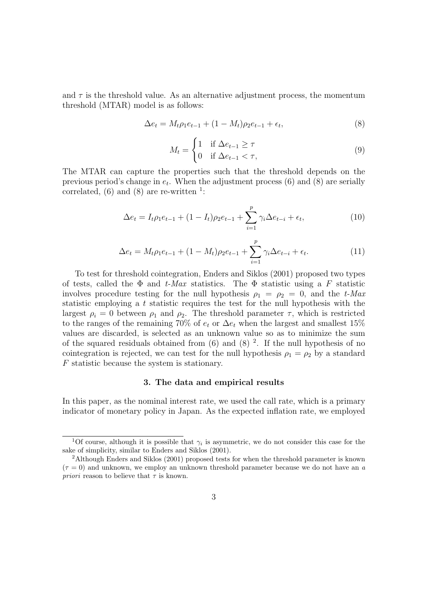and  $\tau$  is the threshold value. As an alternative adjustment process, the momentum threshold (MTAR) model is as follows:

$$
\Delta e_t = M_t \rho_1 e_{t-1} + (1 - M_t) \rho_2 e_{t-1} + \epsilon_t, \tag{8}
$$

$$
M_t = \begin{cases} 1 & \text{if } \Delta e_{t-1} \ge \tau \\ 0 & \text{if } \Delta e_{t-1} < \tau, \end{cases} \tag{9}
$$

The MTAR can capture the properties such that the threshold depends on the previous period's change in  $e_t$ . When the adjustment process (6) and (8) are serially correlated,  $(6)$  and  $(8)$  are re-written <sup>1</sup>:

$$
\Delta e_t = I_t \rho_1 e_{t-1} + (1 - I_t) \rho_2 e_{t-1} + \sum_{i=1}^p \gamma_i \Delta e_{t-i} + \epsilon_t,
$$
\n(10)

$$
\Delta e_t = M_t \rho_1 e_{t-1} + (1 - M_t) \rho_2 e_{t-1} + \sum_{i=1}^p \gamma_i \Delta e_{t-i} + \epsilon_t.
$$
\n(11)

To test for threshold cointegration, Enders and Siklos (2001) proposed two types of tests, called the  $\Phi$  and t-Max statistics. The  $\Phi$  statistic using a F statistic involves procedure testing for the null hypothesis  $\rho_1 = \rho_2 = 0$ , and the t-Max statistic employing a t statistic requires the test for the null hypothesis with the largest  $\rho_i = 0$  between  $\rho_1$  and  $\rho_2$ . The threshold parameter  $\tau$ , which is restricted to the ranges of the remaining 70% of  $e_t$  or  $\Delta e_t$  when the largest and smallest 15% values are discarded, is selected as an unknown value so as to minimize the sum of the squared residuals obtained from  $(6)$  and  $(8)$ <sup>2</sup>. If the null hypothesis of no cointegration is rejected, we can test for the null hypothesis  $\rho_1 = \rho_2$  by a standard F statistic because the system is stationary.

## 3. The data and empirical results

In this paper, as the nominal interest rate, we used the call rate, which is a primary indicator of monetary policy in Japan. As the expected inflation rate, we employed

<sup>&</sup>lt;sup>1</sup>Of course, although it is possible that  $\gamma_i$  is asymmetric, we do not consider this case for the sake of simplicity, similar to Enders and Siklos (2001).

<sup>2</sup>Although Enders and Siklos (2001) proposed tests for when the threshold parameter is known  $(\tau = 0)$  and unknown, we employ an unknown threshold parameter because we do not have an a *priori* reason to believe that  $\tau$  is known.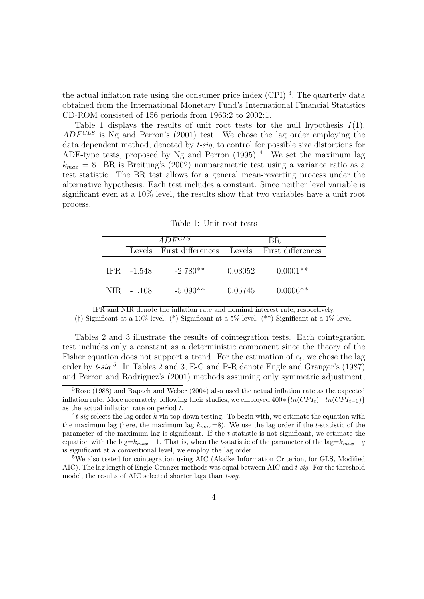the actual inflation rate using the consumer price index (CPI)<sup>3</sup>. The quarterly data obtained from the International Monetary Fund's International Financial Statistics CD-ROM consisted of 156 periods from 1963:2 to 2002:1.

Table 1 displays the results of unit root tests for the null hypothesis  $I(1)$ .  $ADF<sup>GLS</sup>$  is Ng and Perron's (2001) test. We chose the lag order employing the data dependent method, denoted by t-sig, to control for possible size distortions for ADF-type tests, proposed by Ng and Perron  $(1995)$ <sup>4</sup>. We set the maximum lag  $k_{max} = 8$ . BR is Breitung's (2002) nonparametric test using a variance ratio as a test statistic. The BR test allows for a general mean-reverting process under the alternative hypothesis. Each test includes a constant. Since neither level variable is significant even at a 10% level, the results show that two variables have a unit root process.

| $ADF^{GLS}$ |                                                   | -BR.    |            |
|-------------|---------------------------------------------------|---------|------------|
|             | Levels First differences Levels First differences |         |            |
| IFR -1.548  | $-2.780**$                                        | 0.03052 | $0.0001**$ |
| NIR -1.168  | $-5.090**$                                        | 0.05745 | $0.0006**$ |

IFR and NIR denote the inflation rate and nominal interest rate, respectively.

(†) Significant at a 10% level. (\*) Significant at a 5% level. (\*\*) Significant at a 1% level.

Tables 2 and 3 illustrate the results of cointegration tests. Each cointegration test includes only a constant as a deterministic component since the theory of the Fisher equation does not support a trend. For the estimation of  $e_t$ , we chose the lag order by  $t$ -sig  $^5$ . In Tables 2 and 3, E-G and P-R denote Engle and Granger's (1987) and Perron and Rodriguez's (2001) methods assuming only symmetric adjustment,

<sup>3</sup>Rose (1988) and Rapach and Weber (2004) also used the actual inflation rate as the expected inflation rate. More accurately, following their studies, we employed  $400*{ln(CPI<sub>t</sub>)-ln(CPI<sub>t-1</sub>)}$ as the actual inflation rate on period t.

<sup>&</sup>lt;sup>4</sup>t-sig selects the lag order k via top-down testing. To begin with, we estimate the equation with the maximum lag (here, the maximum lag  $k_{max}=8$ ). We use the lag order if the t-statistic of the parameter of the maximum lag is significant. If the t-statistic is not significant, we estimate the equation with the lag= $k_{max} -1$ . That is, when the t-statistic of the parameter of the lag= $k_{max} -q$ is significant at a conventional level, we employ the lag order.

<sup>&</sup>lt;sup>5</sup>We also tested for cointegration using AIC (Akaike Information Criterion, for GLS, Modified AIC). The lag length of Engle-Granger methods was equal between AIC and  $t\text{-}sig$ . For the threshold model, the results of AIC selected shorter lags than  $t$ -sig.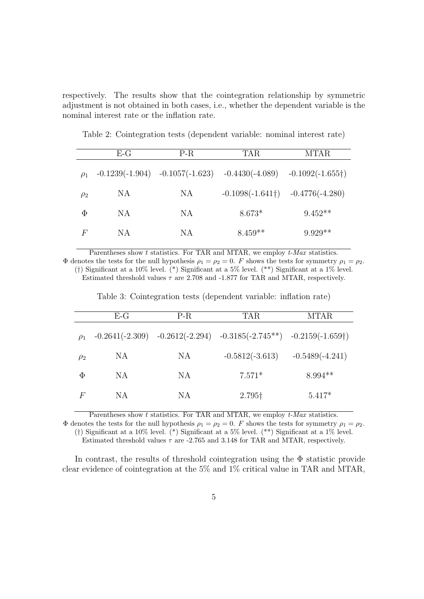respectively. The results show that the cointegration relationship by symmetric adjustment is not obtained in both cases, i.e., whether the dependent variable is the nominal interest rate or the inflation rate.

|          | $E-G$ | $P-R$                               | <b>TAR</b>               | <b>MTAR</b>              |
|----------|-------|-------------------------------------|--------------------------|--------------------------|
| $\rho_1$ |       | $-0.1239(-1.904)$ $-0.1057(-1.623)$ | $-0.4430(-4.089)$        | $-0.1092(-1.655\dagger)$ |
| $\rho_2$ | NA    | NA                                  | $-0.1098(-1.641\dagger)$ | $-0.4776(-4.280)$        |
| Φ        | NA.   | NA                                  | $8.673*$                 | $9.452**$                |
| F        | ΝA    | NA                                  | $8.459**$                | $9.929**$                |

Table 2: Cointegration tests (dependent variable: nominal interest rate)

Parentheses show  $t$  statistics. For TAR and MTAR, we employ  $t$ -Max statistics.  $\Phi$  denotes the tests for the null hypothesis  $\rho_1 = \rho_2 = 0$ . F shows the tests for symmetry  $\rho_1 = \rho_2$ . (†) Significant at a 10% level. (\*) Significant at a 5% level. (\*\*) Significant at a 1% level.

Estimated threshold values  $\tau$  are 2.708 and -1.877 for TAR and MTAR, respectively.

Table 3: Cointegration tests (dependent variable: inflation rate)

|          | $E-G$ | $P-R$ | TAR                                                                        | MTAR              |
|----------|-------|-------|----------------------------------------------------------------------------|-------------------|
| $\rho_1$ |       |       | $-0.2641(-2.309)$ $-0.2612(-2.294)$ $-0.3185(-2.745**)$ $-0.2159(-1.659+)$ |                   |
| $\rho_2$ | NA    | NA    | $-0.5812(-3.613)$                                                          | $-0.5489(-4.241)$ |
| $\Phi$   | NA.   | NA    | $7.571*$                                                                   | $8.994**$         |
| $\,F$    | NA.   | NА    | 2.795†                                                                     | $5.417*$          |

Parentheses show t statistics. For TAR and MTAR, we employ  $t$ -Max statistics.

 $\Phi$  denotes the tests for the null hypothesis  $\rho_1 = \rho_2 = 0$ . F shows the tests for symmetry  $\rho_1 = \rho_2$ . (†) Significant at a 10% level. (\*) Significant at a 5% level. (\*\*) Significant at a 1% level. Estimated threshold values  $\tau$  are -2.765 and 3.148 for TAR and MTAR, respectively.

In contrast, the results of threshold cointegration using the  $\Phi$  statistic provide clear evidence of cointegration at the 5% and 1% critical value in TAR and MTAR,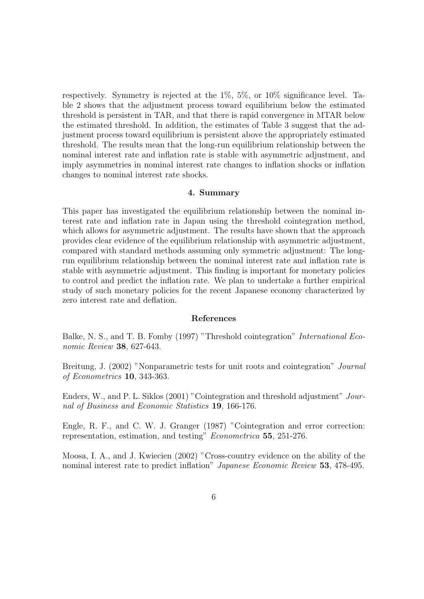respectively. Symmetry is rejected at the 1%, 5%, or 10% significance level. Table 2 shows that the adjustment process toward equilibrium below the estimated threshold is persistent in TAR, and that there is rapid convergence in MTAR below the estimated threshold. In addition, the estimates of Table 3 suggest that the adjustment process toward equilibrium is persistent above the appropriately estimated threshold. The results mean that the long-run equilibrium relationship between the nominal interest rate and inflation rate is stable with asymmetric adjustment, and imply asymmetries in nominal interest rate changes to inflation shocks or inflation changes to nominal interest rate shocks.

#### 4. Summary

This paper has investigated the equilibrium relationship between the nominal interest rate and inflation rate in Japan using the threshold cointegration method, which allows for asymmetric adjustment. The results have shown that the approach provides clear evidence of the equilibrium relationship with asymmetric adjustment, compared with standard methods assuming only symmetric adjustment: The longrun equilibrium relationship between the nominal interest rate and inflation rate is stable with asymmetric adjustment. This finding is important for monetary policies to control and predict the inflation rate. We plan to undertake a further empirical study of such monetary policies for the recent Japanese economy characterized by zero interest rate and deflation.

#### References

Balke, N. S., and T. B. Fomby (1997) "Threshold cointegration" International Economic Review **38**, 627-643.

Breitung, J. (2002) "Nonparametric tests for unit roots and cointegration" Journal of Econometrics 10, 343-363.

Enders, W., and P. L. Siklos (2001) "Cointegration and threshold adjustment" Journal of Business and Economic Statistics 19, 166-176.

Engle, R. F., and C. W. J. Granger (1987) "Cointegration and error correction: representation, estimation, and testing" Econometrica 55, 251-276.

Moosa, I. A., and J. Kwiecien (2002) "Cross-country evidence on the ability of the nominal interest rate to predict inflation" Japanese Economic Review 53, 478-495.